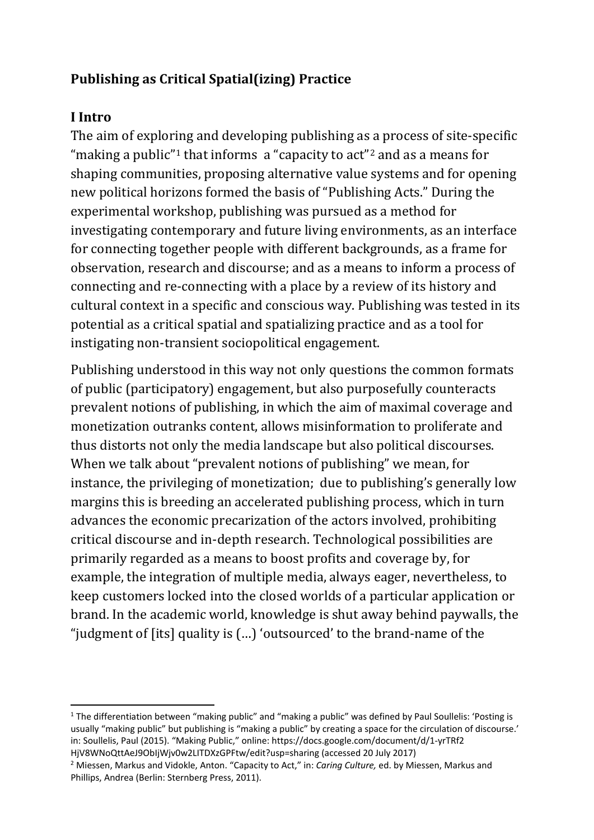## **Publishing as Critical Spatial(izing) Practice**

## **I Intro**

The aim of exploring and developing publishing as a process of site-specific "making a public"<sup>[1](#page-0-0)</sup> that informs a "capacity to  $act"<sup>2</sup>$  $act"<sup>2</sup>$  $act"<sup>2</sup>$  and as a means for shaping communities, proposing alternative value systems and for opening new political horizons formed the basis of "Publishing Acts." During the experimental workshop, publishing was pursued as a method for investigating contemporary and future living environments, as an interface for connecting together people with different backgrounds, as a frame for observation, research and discourse; and as a means to inform a process of connecting and re-connecting with a place by a review of its history and cultural context in a specific and conscious way. Publishing was tested in its potential as a critical spatial and spatializing practice and as a tool for instigating non-transient sociopolitical engagement.

Publishing understood in this way not only questions the common formats of public (participatory) engagement, but also purposefully counteracts prevalent notions of publishing, in which the aim of maximal coverage and monetization outranks content, allows misinformation to proliferate and thus distorts not only the media landscape but also political discourses. When we talk about "prevalent notions of publishing" we mean, for instance, the privileging of monetization; due to publishing's generally low margins this is breeding an accelerated publishing process, which in turn advances the economic precarization of the actors involved, prohibiting critical discourse and in-depth research. Technological possibilities are primarily regarded as a means to boost profits and coverage by, for example, the integration of multiple media, always eager, nevertheless, to keep customers locked into the closed worlds of a particular application or brand. In the academic world, knowledge is shut away behind paywalls, the "judgment of [its] quality is (…) 'outsourced' to the brand-name of the

<span id="page-0-0"></span> $1$  The differentiation between "making public" and "making a public" was defined by Paul Soullelis: 'Posting is usually "making public" but publishing is "making a public" by creating a space for the circulation of discourse.' in: Soullelis, Paul (2015). "Making Public," online: https://docs.google.com/document/d/1-yrTRf2 HjV8WNoQttAeJ9ObIjWjv0w2LITDXzGPFtw/edit?usp=sharing (accessed 20 July 2017)

<span id="page-0-1"></span><sup>2</sup> Miessen, Markus and Vidokle, Anton. "Capacity to Act," in: *Caring Culture,* ed. by Miessen, Markus and Phillips, Andrea (Berlin: Sternberg Press, 2011).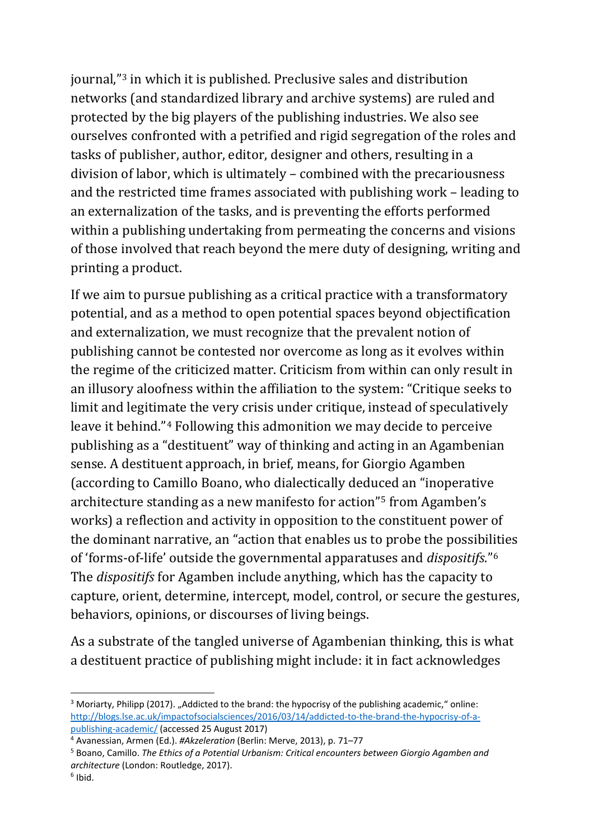journal,"[3](#page-1-0) in which it is published. Preclusive sales and distribution networks (and standardized library and archive systems) are ruled and protected by the big players of the publishing industries. We also see ourselves confronted with a petrified and rigid segregation of the roles and tasks of publisher, author, editor, designer and others, resulting in a division of labor, which is ultimately – combined with the precariousness and the restricted time frames associated with publishing work – leading to an externalization of the tasks, and is preventing the efforts performed within a publishing undertaking from permeating the concerns and visions of those involved that reach beyond the mere duty of designing, writing and printing a product.

If we aim to pursue publishing as a critical practice with a transformatory potential, and as a method to open potential spaces beyond objectification and externalization, we must recognize that the prevalent notion of publishing cannot be contested nor overcome as long as it evolves within the regime of the criticized matter. Criticism from within can only result in an illusory aloofness within the affiliation to the system: "Critique seeks to limit and legitimate the very crisis under critique, instead of speculatively leave it behind."[4](#page-1-1) Following this admonition we may decide to perceive publishing as a "destituent" way of thinking and acting in an Agambenian sense. A destituent approach, in brief, means, for Giorgio Agamben (according to Camillo Boano, who dialectically deduced an "inoperative architecture standing as a new manifesto for action"[5](#page-1-2) from Agamben's works) a reflection and activity in opposition to the constituent power of the dominant narrative, an "action that enables us to probe the possibil[it](#page-1-3)ies of 'forms-of-life' outside the governmental apparatuses and *dispositifs*."6 The *dispositifs* for Agamben include anything, which has the capacity to capture, orient, determine, intercept, model, control, or secure the gestures, behaviors, opinions, or discourses of living beings.

As a substrate of the tangled universe of Agambenian thinking, this is what a destituent practice of publishing might include: it in fact acknowledges

<span id="page-1-0"></span><sup>&</sup>lt;sup>3</sup> Moriarty, Philipp (2017). "Addicted to the brand: the hypocrisy of the publishing academic," online: [http://blogs.lse.ac.uk/impactofsocialsciences/2016/03/14/addicted-to-the-brand-the-hypocrisy-of-a](http://blogs.lse.ac.uk/impactofsocialsciences/2016/03/14/addicted-to-the-brand-the-hypocrisy-of-a-publishing-academic/)[publishing-academic/](http://blogs.lse.ac.uk/impactofsocialsciences/2016/03/14/addicted-to-the-brand-the-hypocrisy-of-a-publishing-academic/) (accessed 25 August 2017)

<span id="page-1-1"></span><sup>4</sup> Avanessian, Armen (Ed.). *#Akzeleration* (Berlin: Merve, 2013), p. 71–77

<span id="page-1-3"></span><span id="page-1-2"></span><sup>5</sup> Boano, Camillo. *The Ethics of a Potential Urbanism: Critical encounters between Giorgio Agamben and architecture* (London: Routledge, 2017).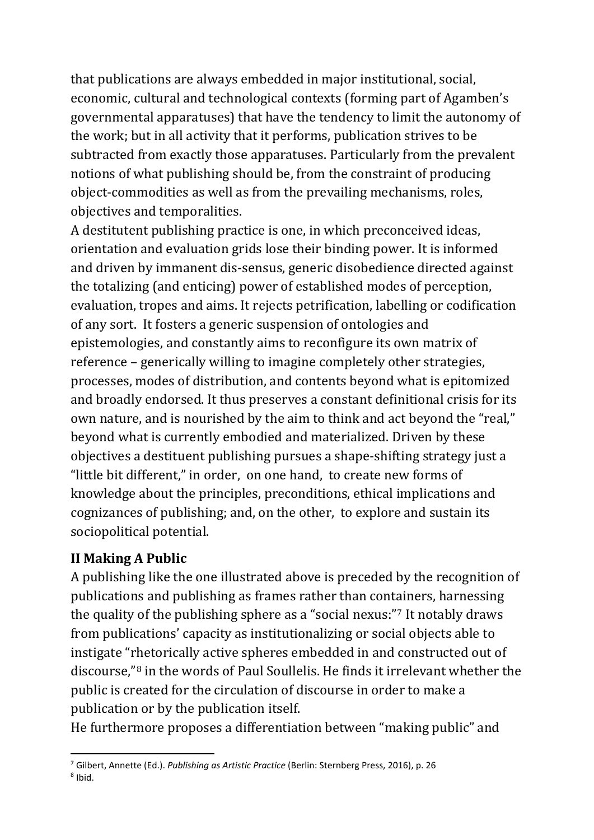that publications are always embedded in major institutional, social, economic, cultural and technological contexts (forming part of Agamben's governmental apparatuses) that have the tendency to limit the autonomy of the work; but in all activity that it performs, publication strives to be subtracted from exactly those apparatuses. Particularly from the prevalent notions of what publishing should be, from the constraint of producing object-commodities as well as from the prevailing mechanisms, roles, objectives and temporalities.

A destitutent publishing practice is one, in which preconceived ideas, orientation and evaluation grids lose their binding power. It is informed and driven by immanent dis-sensus, generic disobedience directed against the totalizing (and enticing) power of established modes of perception, evaluation, tropes and aims. It rejects petrification, labelling or codification of any sort. It fosters a generic suspension of ontologies and epistemologies, and constantly aims to reconfigure its own matrix of reference – generically willing to imagine completely other strategies, processes, modes of distribution, and contents beyond what is epitomized and broadly endorsed. It thus preserves a constant definitional crisis for its own nature, and is nourished by the aim to think and act beyond the "real," beyond what is currently embodied and materialized. Driven by these objectives a destituent publishing pursues a shape-shifting strategy just a "little bit different," in order, on one hand, to create new forms of knowledge about the principles, preconditions, ethical implications and cognizances of publishing; and, on the other, to explore and sustain its sociopolitical potential.

## **II Making A Public**

A publishing like the one illustrated above is preceded by the recognition of publications and publishing as frames rather than containers, harnessing the quality of the publishing sphere as a "social nexus:"[7](#page-2-0) It notably draws from publications' capacity as institutionalizing or social objects able to instigate "rhetorically active spheres embedded in and constructed out of discourse,"[8](#page-2-1) in the words of Paul Soullelis. He finds it irrelevant whether the public is created for the circulation of discourse in order to make a publication or by the publication itself.

He furthermore proposes a differentiation between "making public" and

<span id="page-2-1"></span><span id="page-2-0"></span> <sup>7</sup> Gilbert, Annette (Ed.). *Publishing as Artistic Practice* (Berlin: Sternberg Press, 2016), p. 26 <sup>8</sup> Ibid.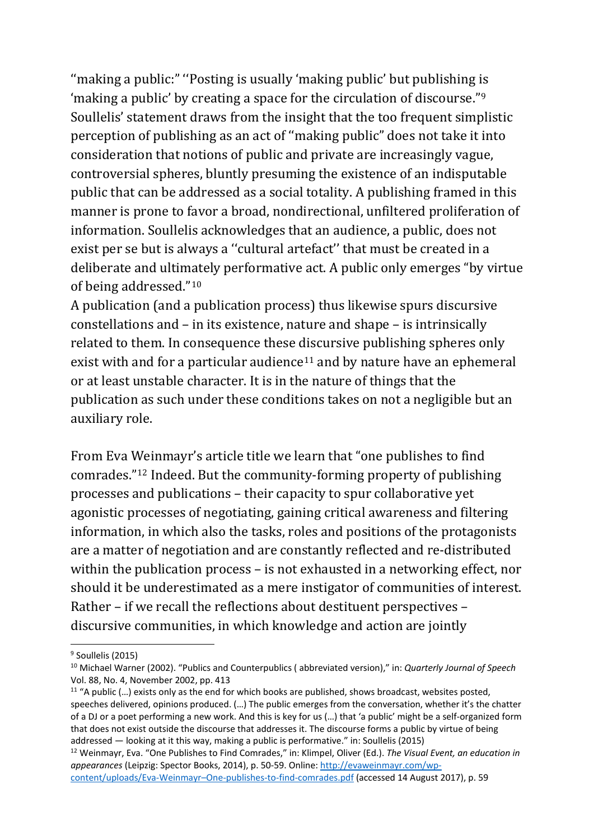''making a public:" ''Posting is usually 'making public' but publishing is 'making a public' by creating a space for the circulation of discourse."[9](#page-3-0) Soullelis' statement draws from the insight that the too frequent simplistic perception of publishing as an act of ''making public" does not take it into consideration that notions of public and private are increasingly vague, controversial spheres, bluntly presuming the existence of an indisputable public that can be addressed as a social totality. A publishing framed in this manner is prone to favor a broad, nondirectional, unfiltered proliferation of information. Soullelis acknowledges that an audience, a public, does not exist per se but is always a ''cultural artefact'' that must be created in a deliberate and ultimately performative act. A public only emerges "by virtue of being addressed."[10](#page-3-1)

A publication (and a publication process) thus likewise spurs discursive constellations and – in its existence, nature and shape – is intrinsically related to them. In consequence these discursive publishing spheres only exist with and for a particular audience<sup>[11](#page-3-2)</sup> and by nature have an ephemeral or at least unstable character. It is in the nature of things that the publication as such under these conditions takes on not a negligible but an auxiliary role.

From Eva Weinmayr's article title we learn that "one publishes to find comrades."[12](#page-3-3) Indeed. But the community-forming property of publishing processes and publications – their capacity to spur collaborative yet agonistic processes of negotiating, gaining critical awareness and filtering information, in which also the tasks, roles and positions of the protagonists are a matter of negotiation and are constantly reflected and re-distributed within the publication process – is not exhausted in a networking effect, nor should it be underestimated as a mere instigator of communities of interest. Rather – if we recall the reflections about destituent perspectives – discursive communities, in which knowledge and action are jointly

<span id="page-3-0"></span><sup>&</sup>lt;sup>9</sup> Soullelis (2015)

<span id="page-3-1"></span><sup>10</sup> Michael Warner (2002). "Publics and Counterpublics ( abbreviated version)," in: *Quarterly Journal of Speech*  Vol. 88, No. 4, November 2002, pp. 413

<span id="page-3-2"></span> $11$  "A public (...) exists only as the end for which books are published, shows broadcast, websites posted, speeches delivered, opinions produced. (…) The public emerges from the conversation, whether it's the chatter of a DJ or a poet performing a new work. And this is key for us (…) that 'a public' might be a self-organized form that does not exist outside the discourse that addresses it. The discourse forms a public by virtue of being addressed — looking at it this way, making a public is performative." in: Soullelis (2015)

<span id="page-3-3"></span><sup>12</sup> Weinmayr, Eva. "One Publishes to Find Comrades," in: Klimpel, Oliver (Ed.). *The Visual Event, an education in appearances* (Leipzig: Spector Books, 2014), p. 50-59. Online: [http://evaweinmayr.com/wp-](http://evaweinmayr.com/wp-content/uploads/Eva-Weinmayr%E2%80%93One-publishes-to-find-comrades.pdf)

[content/uploads/Eva-Weinmayr–One-publishes-to-find-comrades.pdf](http://evaweinmayr.com/wp-content/uploads/Eva-Weinmayr%E2%80%93One-publishes-to-find-comrades.pdf) (accessed 14 August 2017), p. 59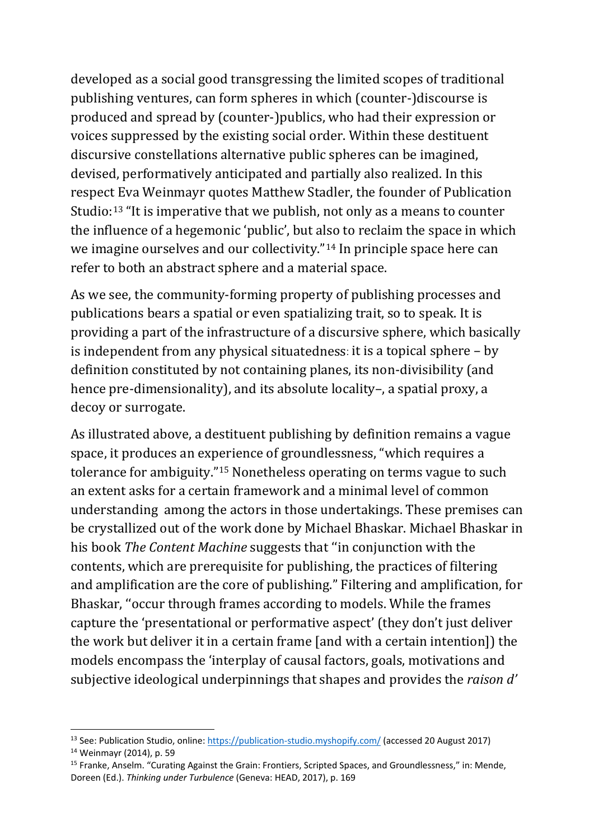developed as a social good transgressing the limited scopes of traditional publishing ventures, can form spheres in which (counter-)discourse is produced and spread by (counter-)publics, who had their expression or voices suppressed by the existing social order. Within these destituent discursive constellations alternative public spheres can be imagined, devised, performatively anticipated and partially also realized. In this respect Eva Weinmayr quotes Matthew Stadler, the founder of Publication Studio:[13](#page-4-0) "It is imperative that we publish, not only as a means to counter the influence of a hegemonic 'public', but also to reclaim the space in which we imagine ourselves and our collectivity."[14](#page-4-1) In principle space here can refer to both an abstract sphere and a material space.

As we see, the community-forming property of publishing processes and publications bears a spatial or even spatializing trait, so to speak. It is providing a part of the infrastructure of a discursive sphere, which basically is independent from any physical situatedness: it is a topical sphere – by definition constituted by not containing planes, its non-divisibility (and hence pre-dimensionality), and its absolute locality-, a spatial proxy, a decoy or surrogate.

As illustrated above, a destituent publishing by definition remains a vague space, it produces an experience of groundlessness, "which requires a tolerance for ambiguity."[15](#page-4-2) Nonetheless operating on terms vague to such an extent asks for a certain framework and a minimal level of common understanding among the actors in those undertakings. These premises can be crystallized out of the work done by Michael Bhaskar. Michael Bhaskar in his book *The Content Machine* suggests that ''in conjunction with the contents, which are prerequisite for publishing, the practices of filtering and amplification are the core of publishing." Filtering and amplification, for Bhaskar, ''occur through frames according to models. While the frames capture the 'presentational or performative aspect' (they don't just deliver the work but deliver it in a certain frame [and with a certain intention]) the models encompass the 'interplay of causal factors, goals, motivations and subjective ideological underpinnings that shapes and provides the *raison d'* 

<span id="page-4-1"></span><span id="page-4-0"></span><sup>&</sup>lt;sup>13</sup> See: Publication Studio, online:<https://publication-studio.myshopify.com/> (accessed 20 August 2017) <sup>14</sup> Weinmayr (2014), p. 59

<span id="page-4-2"></span><sup>15</sup> Franke, Anselm. "Curating Against the Grain: Frontiers, Scripted Spaces, and Groundlessness," in: Mende, Doreen (Ed.). *Thinking under Turbulence* (Geneva: HEAD, 2017), p. 169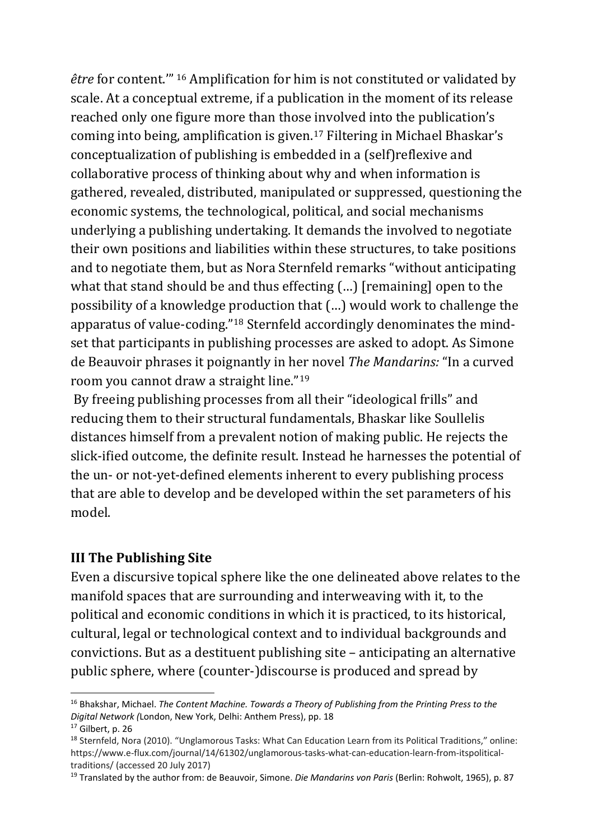*être* for content.'" [16](#page-5-0) Amplification for him is not constituted or validated by scale. At a conceptual extreme, if a publication in the moment of its release reached only one figure more than those involved into the publication's coming into being, amplification is given.[17](#page-5-1) Filtering in Michael Bhaskar's conceptualization of publishing is embedded in a (self)reflexive and collaborative process of thinking about why and when information is gathered, revealed, distributed, manipulated or suppressed, questioning the economic systems, the technological, political, and social mechanisms underlying a publishing undertaking. It demands the involved to negotiate their own positions and liabilities within these structures, to take positions and to negotiate them, but as Nora Sternfeld remarks "without anticipating what that stand should be and thus effecting (...) [remaining] open to the possibility of a knowledge production that (…) would work to challenge the apparatus of value-coding."[18](#page-5-2) Sternfeld accordingly denominates the mindset that participants in publishing processes are asked to adopt. As Simone de Beauvoir phrases it poignantly in her novel *The Mandarins:* "In a curved room you cannot draw a straight line."[19](#page-5-3)

By freeing publishing processes from all their "ideological frills" and reducing them to their structural fundamentals, Bhaskar like Soullelis distances himself from a prevalent notion of making public. He rejects the slick-ified outcome, the definite result. Instead he harnesses the potential of the un- or not-yet-defined elements inherent to every publishing process that are able to develop and be developed within the set parameters of his model.

## **III The Publishing Site**

Even a discursive topical sphere like the one delineated above relates to the manifold spaces that are surrounding and interweaving with it, to the political and economic conditions in which it is practiced, to its historical, cultural, legal or technological context and to individual backgrounds and convictions. But as a destituent publishing site – anticipating an alternative public sphere, where (counter-)discourse is produced and spread by

<span id="page-5-0"></span> <sup>16</sup> Bhakshar, Michael. *The Content Machine. Towards a Theory of Publishing from the Printing Press to the Digital Network (*London, New York, Delhi: Anthem Press), pp. 18

<span id="page-5-1"></span> $17$  Gilbert, p. 26

<span id="page-5-2"></span><sup>&</sup>lt;sup>18</sup> Sternfeld, Nora (2010). "Unglamorous Tasks: What Can Education Learn from its Political Traditions," online: https://www.e-flux.com/journal/14/61302/unglamorous-tasks-what-can-education-learn-from-itspoliticaltraditions/ (accessed 20 July 2017)

<span id="page-5-3"></span><sup>19</sup> Translated by the author from: de Beauvoir, Simone. *Die Mandarins von Paris* (Berlin: Rohwolt, 1965), p. 87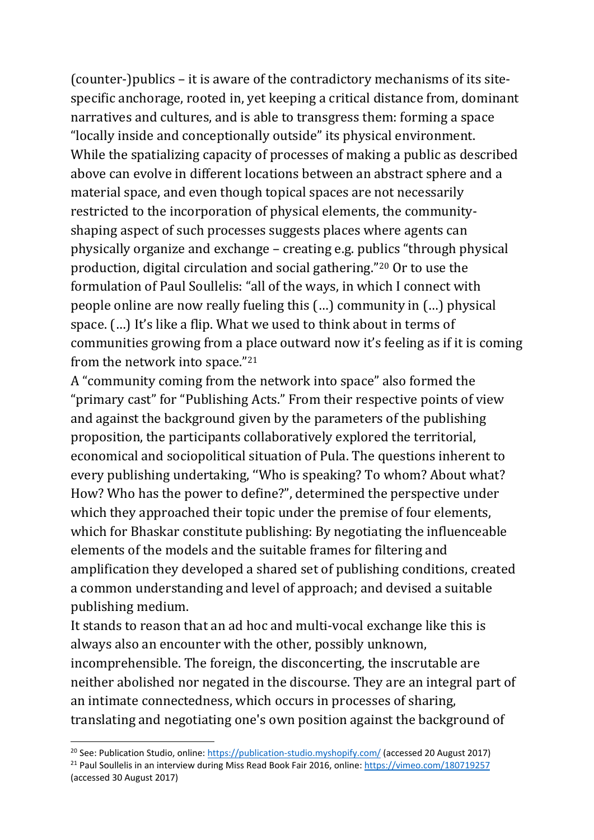(counter-)publics – it is aware of the contradictory mechanisms of its sitespecific anchorage, rooted in, yet keeping a critical distance from, dominant narratives and cultures, and is able to transgress them: forming a space "locally inside and conceptionally outside" its physical environment. While the spatializing capacity of processes of making a public as described above can evolve in different locations between an abstract sphere and a material space, and even though topical spaces are not necessarily restricted to the incorporation of physical elements, the communityshaping aspect of such processes suggests places where agents can physically organize and exchange – creating e.g. publics "through physical production, digital circulation and social gathering."[20](#page-6-0) Or to use the formulation of Paul Soullelis: "all of the ways, in which I connect with people online are now really fueling this (…) community in (…) physical space. (…) It's like a flip. What we used to think about in terms of communities growing from a place outward now it's feeling as if it is coming from the network into space."[21](#page-6-1)

A "community coming from the network into space" also formed the "primary cast" for "Publishing Acts." From their respective points of view and against the background given by the parameters of the publishing proposition, the participants collaboratively explored the territorial, economical and sociopolitical situation of Pula. The questions inherent to every publishing undertaking, ''Who is speaking? To whom? About what? How? Who has the power to define?", determined the perspective under which they approached their topic under the premise of four elements, which for Bhaskar constitute publishing: By negotiating the influenceable elements of the models and the suitable frames for filtering and amplification they developed a shared set of publishing conditions, created a common understanding and level of approach; and devised a suitable publishing medium.

It stands to reason that an ad hoc and multi-vocal exchange like this is always also an encounter with the other, possibly unknown, incomprehensible. The foreign, the disconcerting, the inscrutable are neither abolished nor negated in the discourse. They are an integral part of an intimate connectedness, which occurs in processes of sharing, translating and negotiating one's own position against the background of

<span id="page-6-0"></span><sup>&</sup>lt;sup>20</sup> See: Publication Studio, online: <https://publication-studio.myshopify.com/> (accessed 20 August 2017) <sup>21</sup> Paul Soullelis in an interview during Miss Read Book Fair 2016, online[: https://vimeo.com/180719257](https://vimeo.com/180719257)

<span id="page-6-1"></span><sup>(</sup>accessed 30 August 2017)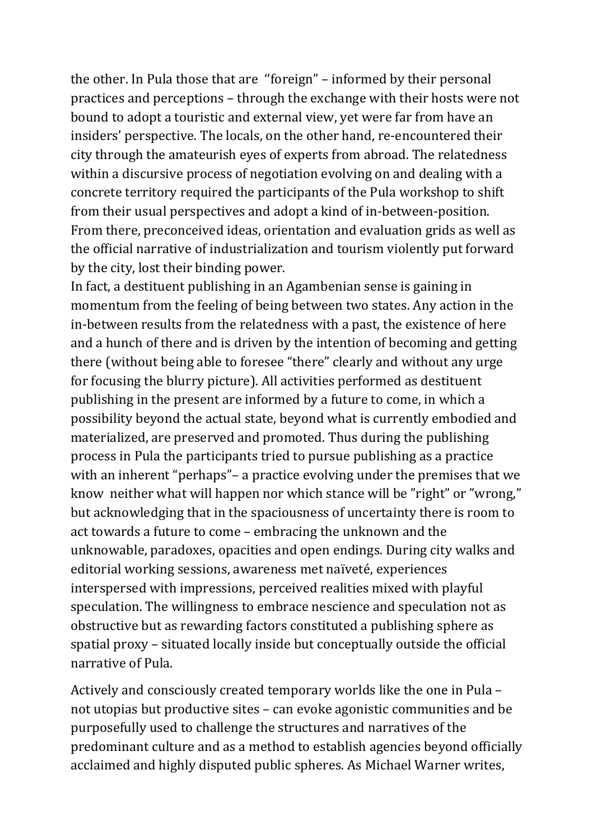the other. In Pula those that are ''foreign" – informed by their personal practices and perceptions – through the exchange with their hosts were not bound to adopt a touristic and external view, yet were far from have an insiders' perspective. The locals, on the other hand, re-encountered their city through the amateurish eyes of experts from abroad. The relatedness within a discursive process of negotiation evolving on and dealing with a concrete territory required the participants of the Pula workshop to shift from their usual perspectives and adopt a kind of in-between-position. From there, preconceived ideas, orientation and evaluation grids as well as the official narrative of industrialization and tourism violently put forward by the city, lost their binding power.

In fact, a destituent publishing in an Agambenian sense is gaining in momentum from the feeling of being between two states. Any action in the in-between results from the relatedness with a past, the existence of here and a hunch of there and is driven by the intention of becoming and getting there (without being able to foresee "there" clearly and without any urge for focusing the blurry picture). All activities performed as destituent publishing in the present are informed by a future to come, in which a possibility beyond the actual state, beyond what is currently embodied and materialized, are preserved and promoted. Thus during the publishing process in Pula the participants tried to pursue publishing as a practice with an inherent "perhaps"– a practice evolving under the premises that we know neither what will happen nor which stance will be "right" or "wrong," but acknowledging that in the spaciousness of uncertainty there is room to act towards a future to come – embracing the unknown and the unknowable, paradoxes, opacities and open endings. During city walks and editorial working sessions, awareness met naïveté, experiences interspersed with impressions, perceived realities mixed with playful speculation. The willingness to embrace nescience and speculation not as obstructive but as rewarding factors constituted a publishing sphere as spatial proxy – situated locally inside but conceptually outside the official narrative of Pula.

Actively and consciously created temporary worlds like the one in Pula – not utopias but productive sites – can evoke agonistic communities and be purposefully used to challenge the structures and narratives of the predominant culture and as a method to establish agencies beyond officially acclaimed and highly disputed public spheres. As Michael Warner writes,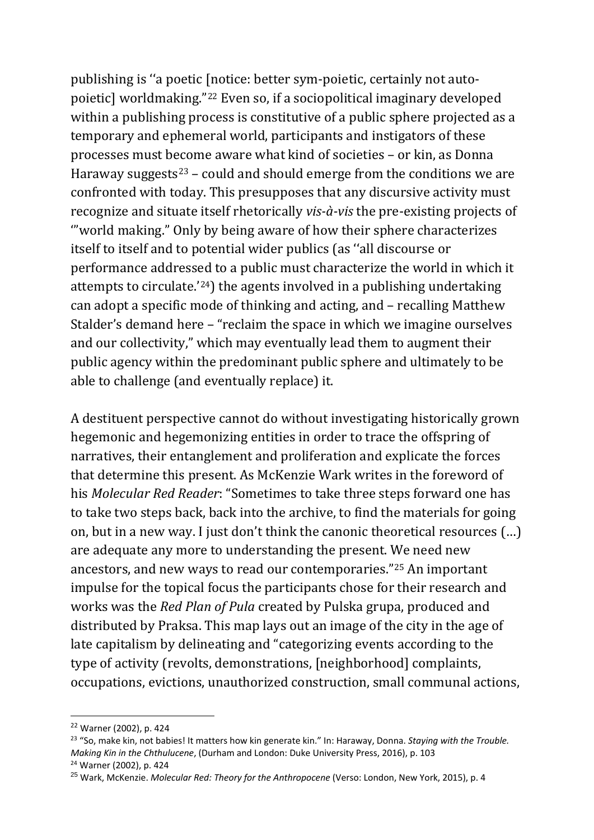publishing is ''a poetic [notice: better sym-poietic, certainly not autopoietic] worldmaking."[22](#page-8-0) Even so, if a sociopolitical imaginary developed within a publishing process is constitutive of a public sphere projected as a temporary and ephemeral world, participants and instigators of these processes must become aware what kind of societies – or kin, as Donna Haraway suggests<sup>[23](#page-8-1)</sup> – could and should emerge from the conditions we are confronted with today. This presupposes that any discursive activity must recognize and situate itself rhetorically *vis-à-vis* the pre-existing projects of '"world making." Only by being aware of how their sphere characterizes itself to itself and to potential wider publics (as ''all discourse or performance addressed to a public must characterize the world in which it attempts to circulate.'[24\)](#page-8-2) the agents involved in a publishing undertaking can adopt a specific mode of thinking and acting, and – recalling Matthew Stalder's demand here – "reclaim the space in which we imagine ourselves and our collectivity," which may eventually lead them to augment their public agency within the predominant public sphere and ultimately to be able to challenge (and eventually replace) it.

A destituent perspective cannot do without investigating historically grown hegemonic and hegemonizing entities in order to trace the offspring of narratives, their entanglement and proliferation and explicate the forces that determine this present. As McKenzie Wark writes in the foreword of his *Molecular Red Reader*: "Sometimes to take three steps forward one has to take two steps back, back into the archive, to find the materials for going on, but in a new way. I just don't think the canonic theoretical resources (…) are adequate any more to understanding the present. We need new ancestors, and new ways to read our contemporaries."[25](#page-8-3) An important impulse for the topical focus the participants chose for their research and works was the *Red Plan of Pula* created by Pulska grupa, produced and distributed by Praksa. This map lays out an image of the city in the age of late capitalism by delineating and "categorizing events according to the type of activity (revolts, demonstrations, [neighborhood] complaints, occupations, evictions, unauthorized construction, small communal actions,

<span id="page-8-0"></span> <sup>22</sup> Warner (2002), p. 424

<span id="page-8-1"></span><sup>23</sup> "So, make kin, not babies! It matters how kin generate kin." In: Haraway, Donna. *Staying with the Trouble. Making Kin in the Chthulucene*, (Durham and London: Duke University Press, 2016), p. 103 <sup>24</sup> Warner (2002), p. 424

<span id="page-8-3"></span><span id="page-8-2"></span><sup>25</sup> Wark, McKenzie. *Molecular Red: Theory for the Anthropocene* (Verso: London, New York, 2015), p. 4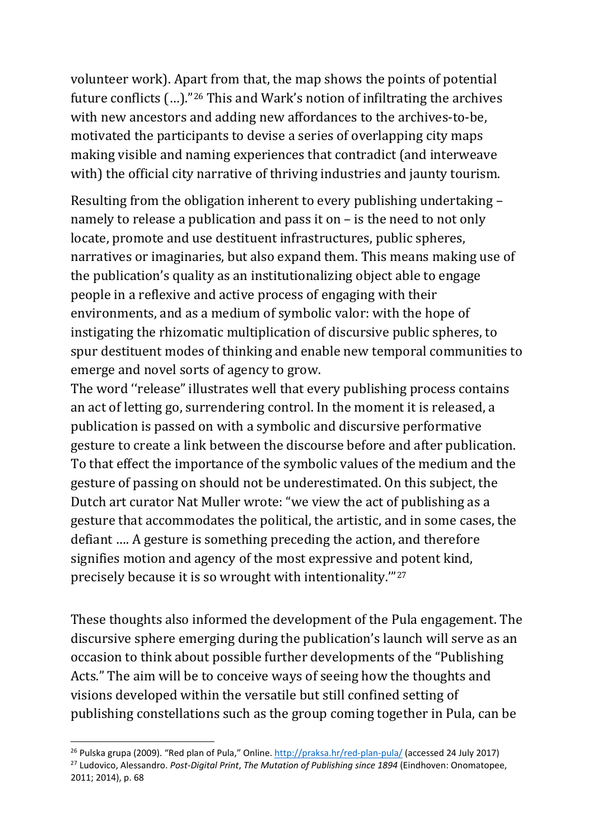volunteer work). Apart from that, the map shows the points of potential future conflicts (…)."[26](#page-9-0) This and Wark's notion of infiltrating the archives with new ancestors and adding new affordances to the archives-to-be, motivated the participants to devise a series of overlapping city maps making visible and naming experiences that contradict (and interweave with) the official city narrative of thriving industries and jaunty tourism.

Resulting from the obligation inherent to every publishing undertaking – namely to release a publication and pass it on – is the need to not only locate, promote and use destituent infrastructures, public spheres, narratives or imaginaries, but also expand them. This means making use of the publication's quality as an institutionalizing object able to engage people in a reflexive and active process of engaging with their environments, and as a medium of symbolic valor: with the hope of instigating the rhizomatic multiplication of discursive public spheres, to spur destituent modes of thinking and enable new temporal communities to emerge and novel sorts of agency to grow.

The word ''release" illustrates well that every publishing process contains an act of letting go, surrendering control. In the moment it is released, a publication is passed on with a symbolic and discursive performative gesture to create a link between the discourse before and after publication. To that effect the importance of the symbolic values of the medium and the gesture of passing on should not be underestimated. On this subject, the Dutch art curator Nat Muller wrote: "we view the act of publishing as a gesture that accommodates the political, the artistic, and in some cases, the defiant …. A gesture is something preceding the action, and therefore signifies motion and agency of the most expressive and potent kind, precisely because it is so wrought with intentionality.'"[27](#page-9-1)

These thoughts also informed the development of the Pula engagement. The discursive sphere emerging during the publication's launch will serve as an occasion to think about possible further developments of the "Publishing Acts." The aim will be to conceive ways of seeing how the thoughts and visions developed within the versatile but still confined setting of publishing constellations such as the group coming together in Pula, can be

<span id="page-9-1"></span><span id="page-9-0"></span><sup>&</sup>lt;sup>26</sup> Pulska grupa (2009). "Red plan of Pula," Online[. http://praksa.hr/red-plan-pula/](http://praksa.hr/red-plan-pula/) (accessed 24 July 2017) <sup>27</sup> Ludovico, Alessandro. *Post-Digital Print*, *The Mutation of Publishing since 1894* (Eindhoven: Onomatopee, 2011; 2014), p. 68